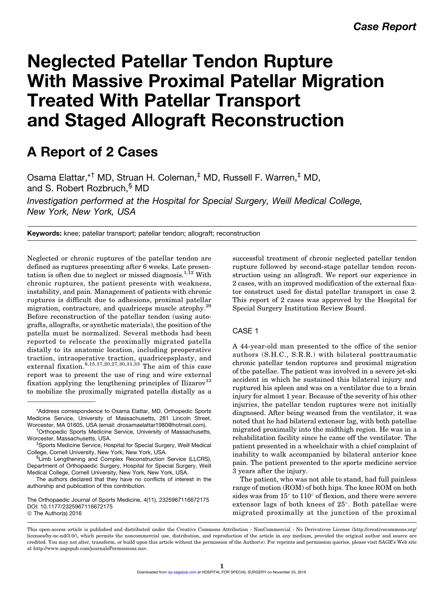# Neglected Patellar Tendon Rupture With Massive Proximal Patellar Migration Treated With Patellar Transport and Staged Allograft Reconstruction

# A Report of 2 Cases

Osama Elattar,\*† MD, Struan H. Coleman,‡ MD, Russell F. Warren,‡ MD, and S. Robert Rozbruch,§ MD

Investigation performed at the Hospital for Special Surgery, Weill Medical College, New York, New York, USA

Keywords: knee; patellar transport; patellar tendon; allograft; reconstruction

Neglected or chronic ruptures of the patellar tendon are defined as ruptures presenting after 6 weeks. Late presentation is often due to neglect or missed diagnosis.<sup>1,12</sup> With chronic ruptures, the patient presents with weakness, instability, and pain. Management of patients with chronic ruptures is difficult due to adhesions, proximal patellar migration, contracture, and quadriceps muscle atrophy.<sup>29</sup> Before reconstruction of the patellar tendon (using autografts, allografts, or synthetic materials), the position of the patella must be normalized. Several methods had been reported to relocate the proximally migrated patella distally to its anatomic location, including preoperative traction, intraoperative traction, quadricepsplasty, and external fixation.  $8,15,17,20,27,30,31,33$  The aim of this case report was to present the use of ring and wire external fixation applying the lengthening principles of Ilizarov<sup>13</sup> to mobilize the proximally migrated patella distally as a

<sup>†</sup>Orthopedic Sports Medicine Service, University of Massachusetts, Worcester, Massachusetts, USA. ‡

The authors declared that they have no conflicts of interest in the authorship and publication of this contribution.

The Orthopaedic Journal of Sports Medicine, 4(11), 2325967116672175 DOI: 10.1177/2325967116672175 © The Author(s) 2016

successful treatment of chronic neglected patellar tendon rupture followed by second-stage patellar tendon reconstruction using an allograft. We report our experience in 2 cases, with an improved modification of the external fixator construct used for distal patellar transport in case 2. This report of 2 cases was approved by the Hospital for Special Surgery Institution Review Board.

### CASE 1

A 44-year-old man presented to the office of the senior authors (S.H.C., S.R.R.) with bilateral posttraumatic chronic patellar tendon ruptures and proximal migration of the patellae. The patient was involved in a severe jet-ski accident in which he sustained this bilateral injury and ruptured his spleen and was on a ventilator due to a brain injury for almost 1 year. Because of the severity of his other injuries, the patellar tendon ruptures were not initially diagnosed. After being weaned from the ventilator, it was noted that he had bilateral extensor lag, with both patellae migrated proximally into the midthigh region. He was in a rehabilitation facility since he came off the ventilator. The patient presented in a wheelchair with a chief complaint of inability to walk accompanied by bilateral anterior knee pain. The patient presented to the sports medicine service 3 years after the injury.

The patient, who was not able to stand, had full painless range of motion (ROM) of both hips. The knee ROM on both sides was from  $15^{\circ}$  to  $110^{\circ}$  of flexion, and there were severe extensor lags of both knees of  $25^{\circ}$ . Both patellae were migrated proximally at the junction of the proximal

<sup>\*</sup>Address correspondence to Osama Elattar, MD, Orthopedic Sports Medicine Service, University of Massachusetts, 281 Lincoln Street, Worcester, MA 01605, USA (email: [drosamaelattar1980@hotmail.com\)](mailto:drosamaelattar1980@hotmail.com). †

Sports Medicine Service, Hospital for Special Surgery, Weill Medical College, Cornell University, New York, New York, USA.

<sup>§</sup> Limb Lengthening and Complex Reconstruction Service (LLCRS), Department of Orthopaedic Surgery, Hospital for Special Surgery, Weill Medical College, Cornell University, New York, New York, USA.

This open-access article is published and distributed under the Creative Commons Attribution - NonCommercial - No Derivatives License (http://creativecommons.org/ licenses/by-nc-nd/3.0/), which permits the noncommercial use, distribution, and reproduction of the article in any medium, provided the original author and source are credited. You may not alter, transform, or build upon this article without the permission of the Author(s). For reprints and permission queries, please visit SAGE's Web site at http://www.sagepub.com/journalsPermissions.nav.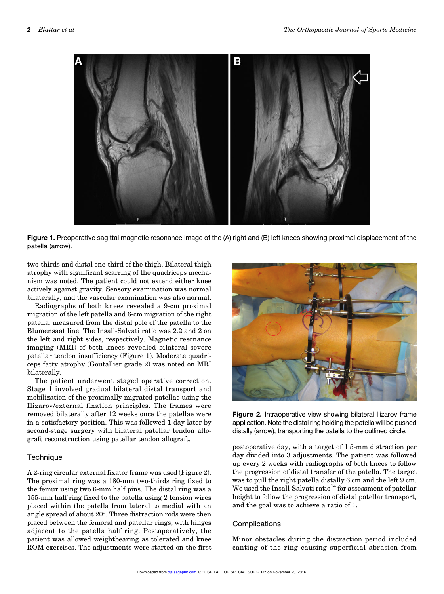

Figure 1. Preoperative sagittal magnetic resonance image of the (A) right and (B) left knees showing proximal displacement of the patella (arrow).

two-thirds and distal one-third of the thigh. Bilateral thigh atrophy with significant scarring of the quadriceps mechanism was noted. The patient could not extend either knee actively against gravity. Sensory examination was normal bilaterally, and the vascular examination was also normal.

Radiographs of both knees revealed a 9-cm proximal migration of the left patella and 6-cm migration of the right patella, measured from the distal pole of the patella to the Blumensaat line. The Insall-Salvati ratio was 2.2 and 2 on the left and right sides, respectively. Magnetic resonance imaging (MRI) of both knees revealed bilateral severe patellar tendon insufficiency (Figure 1). Moderate quadriceps fatty atrophy (Goutallier grade 2) was noted on MRI bilaterally.

The patient underwent staged operative correction. Stage 1 involved gradual bilateral distal transport and mobilization of the proximally migrated patellae using the Ilizarov/external fixation principles. The frames were removed bilaterally after 12 weeks once the patellae were in a satisfactory position. This was followed 1 day later by second-stage surgery with bilateral patellar tendon allograft reconstruction using patellar tendon allograft.

#### **Technique**

A 2-ring circular external fixator frame was used (Figure 2). The proximal ring was a 180-mm two-thirds ring fixed to the femur using two 6-mm half pins. The distal ring was a 155-mm half ring fixed to the patella using 2 tension wires placed within the patella from lateral to medial with an angle spread of about  $20^{\circ}$ . Three distraction rods were then placed between the femoral and patellar rings, with hinges adjacent to the patella half ring. Postoperatively, the patient was allowed weightbearing as tolerated and knee ROM exercises. The adjustments were started on the first



Figure 2. Intraoperative view showing bilateral Ilizarov frame application. Note the distal ring holding the patella will be pushed distally (arrow), transporting the patella to the outlined circle.

postoperative day, with a target of 1.5-mm distraction per day divided into 3 adjustments. The patient was followed up every 2 weeks with radiographs of both knees to follow the progression of distal transfer of the patella. The target was to pull the right patella distally 6 cm and the left 9 cm. We used the Insall-Salvati ratio<sup>14</sup> for assessment of patellar height to follow the progression of distal patellar transport, and the goal was to achieve a ratio of 1.

#### **Complications**

Minor obstacles during the distraction period included canting of the ring causing superficial abrasion from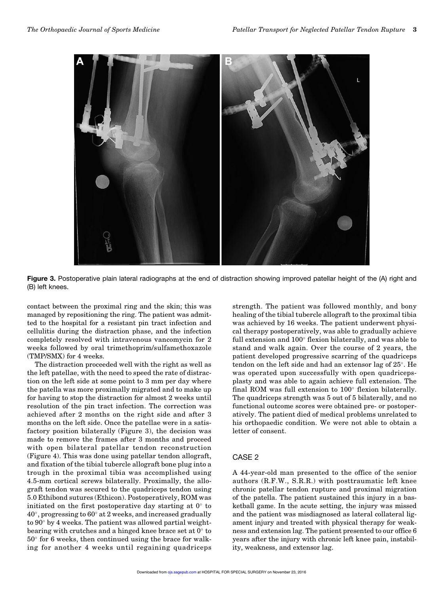

Figure 3. Postoperative plain lateral radiographs at the end of distraction showing improved patellar height of the (A) right and (B) left knees.

contact between the proximal ring and the skin; this was managed by repositioning the ring. The patient was admitted to the hospital for a resistant pin tract infection and cellulitis during the distraction phase, and the infection completely resolved with intravenous vancomycin for 2 weeks followed by oral trimethoprim/sulfamethoxazole (TMP/SMX) for 4 weeks.

The distraction proceeded well with the right as well as the left patellae, with the need to speed the rate of distraction on the left side at some point to 3 mm per day where the patella was more proximally migrated and to make up for having to stop the distraction for almost 2 weeks until resolution of the pin tract infection. The correction was achieved after 2 months on the right side and after 3 months on the left side. Once the patellae were in a satisfactory position bilaterally (Figure 3), the decision was made to remove the frames after 3 months and proceed with open bilateral patellar tendon reconstruction (Figure 4). This was done using patellar tendon allograft, and fixation of the tibial tubercle allograft bone plug into a trough in the proximal tibia was accomplished using 4.5-mm cortical screws bilaterally. Proximally, the allograft tendon was secured to the quadriceps tendon using 5.0 Ethibond sutures (Ethicon). Postoperatively, ROM was initiated on the first postoperative day starting at  $0^{\circ}$  to  $40^\circ$ , progressing to  $60^\circ$  at 2 weeks, and increased gradually to  $90^{\circ}$  by 4 weeks. The patient was allowed partial weightbearing with crutches and a hinged knee brace set at  $0^{\circ}$  to  $50^{\circ}$  for 6 weeks, then continued using the brace for walking for another 4 weeks until regaining quadriceps

strength. The patient was followed monthly, and bony healing of the tibial tubercle allograft to the proximal tibia was achieved by 16 weeks. The patient underwent physical therapy postoperatively, was able to gradually achieve full extension and  $100^\circ$  flexion bilaterally, and was able to stand and walk again. Over the course of 2 years, the patient developed progressive scarring of the quadriceps tendon on the left side and had an extensor lag of  $25^\circ$ . He was operated upon successfully with open quadricepsplasty and was able to again achieve full extension. The final ROM was full extension to  $100^\circ$  flexion bilaterally. The quadriceps strength was 5 out of 5 bilaterally, and no functional outcome scores were obtained pre- or postoperatively. The patient died of medical problems unrelated to his orthopaedic condition. We were not able to obtain a letter of consent.

# CASE 2

A 44-year-old man presented to the office of the senior authors (R.F.W., S.R.R.) with posttraumatic left knee chronic patellar tendon rupture and proximal migration of the patella. The patient sustained this injury in a basketball game. In the acute setting, the injury was missed and the patient was misdiagnosed as lateral collateral ligament injury and treated with physical therapy for weakness and extension lag. The patient presented to our office 6 years after the injury with chronic left knee pain, instability, weakness, and extensor lag.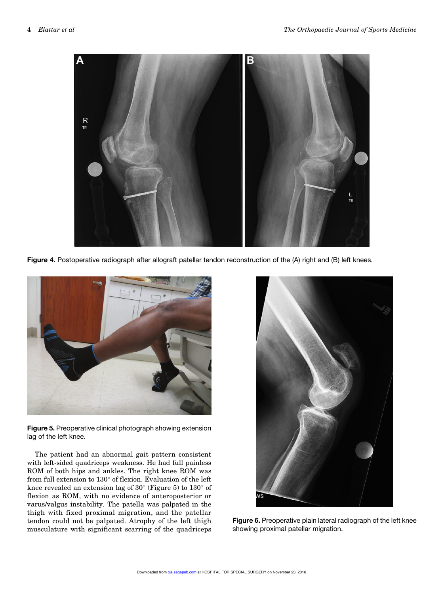

Figure 4. Postoperative radiograph after allograft patellar tendon reconstruction of the (A) right and (B) left knees.



Figure 5. Preoperative clinical photograph showing extension lag of the left knee.

The patient had an abnormal gait pattern consistent with left-sided quadriceps weakness. He had full painless ROM of both hips and ankles. The right knee ROM was from full extension to  $130^{\circ}$  of flexion. Evaluation of the left knee revealed an extension lag of  $30^{\circ}$  (Figure 5) to  $130^{\circ}$  of flexion as ROM, with no evidence of anteroposterior or varus/valgus instability. The patella was palpated in the thigh with fixed proximal migration, and the patellar tendon could not be palpated. Atrophy of the left thigh musculature with significant scarring of the quadriceps



Figure 6. Preoperative plain lateral radiograph of the left knee showing proximal patellar migration.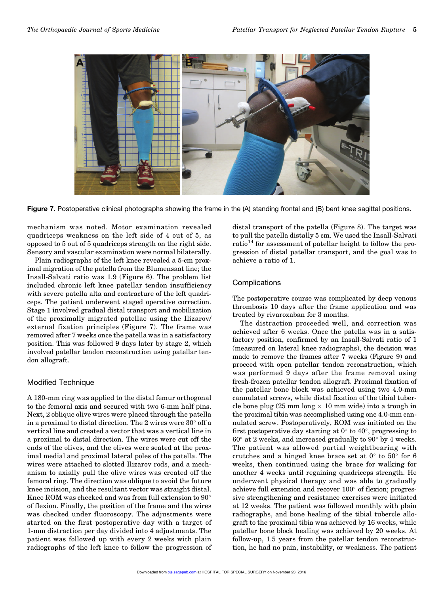

Figure 7. Postoperative clinical photographs showing the frame in the (A) standing frontal and (B) bent knee sagittal positions.

mechanism was noted. Motor examination revealed quadriceps weakness on the left side of 4 out of 5, as opposed to 5 out of 5 quadriceps strength on the right side. Sensory and vascular examination were normal bilaterally.

Plain radiographs of the left knee revealed a 5-cm proximal migration of the patella from the Blumensaat line; the Insall-Salvati ratio was 1.9 (Figure 6). The problem list included chronic left knee patellar tendon insufficiency with severe patella alta and contracture of the left quadriceps. The patient underwent staged operative correction. Stage 1 involved gradual distal transport and mobilization of the proximally migrated patellae using the Ilizarov/ external fixation principles (Figure 7). The frame was removed after 7 weeks once the patella was in a satisfactory position. This was followed 9 days later by stage 2, which involved patellar tendon reconstruction using patellar tendon allograft.

# Modified Technique

A 180-mm ring was applied to the distal femur orthogonal to the femoral axis and secured with two 6-mm half pins. Next, 2 oblique olive wires were placed through the patella in a proximal to distal direction. The 2 wires were  $30^{\circ}$  off a vertical line and created a vector that was a vertical line in a proximal to distal direction. The wires were cut off the ends of the olives, and the olives were seated at the proximal medial and proximal lateral poles of the patella. The wires were attached to slotted Ilizarov rods, and a mechanism to axially pull the olive wires was created off the femoral ring. The direction was oblique to avoid the future knee incision, and the resultant vector was straight distal. Knee ROM was checked and was from full extension to  $90^\circ$ of flexion. Finally, the position of the frame and the wires was checked under fluoroscopy. The adjustments were started on the first postoperative day with a target of 1-mm distraction per day divided into 4 adjustments. The patient was followed up with every 2 weeks with plain radiographs of the left knee to follow the progression of

distal transport of the patella (Figure 8). The target was to pull the patella distally 5 cm. We used the Insall-Salvati ratio<sup>14</sup> for assessment of patellar height to follow the progression of distal patellar transport, and the goal was to achieve a ratio of 1.

# **Complications**

The postoperative course was complicated by deep venous thrombosis 10 days after the frame application and was treated by rivaroxaban for 3 months.

The distraction proceeded well, and correction was achieved after 6 weeks. Once the patella was in a satisfactory position, confirmed by an Insall-Salvati ratio of 1 (measured on lateral knee radiographs), the decision was made to remove the frames after 7 weeks (Figure 9) and proceed with open patellar tendon reconstruction, which was performed 9 days after the frame removal using fresh-frozen patellar tendon allograft. Proximal fixation of the patellar bone block was achieved using two 4.0-mm cannulated screws, while distal fixation of the tibial tubercle bone plug (25 mm long  $\times$  10 mm wide) into a trough in the proximal tibia was accomplished using one 4.0-mm cannulated screw. Postoperatively, ROM was initiated on the first postoperative day starting at  $0^{\circ}$  to  $40^{\circ}$ , progressing to  $60^\circ$  at 2 weeks, and increased gradually to  $90^\circ$  by 4 weeks. The patient was allowed partial weightbearing with crutches and a hinged knee brace set at  $0^{\circ}$  to  $50^{\circ}$  for 6 weeks, then continued using the brace for walking for another 4 weeks until regaining quadriceps strength. He underwent physical therapy and was able to gradually achieve full extension and recover  $100^{\circ}$  of flexion; progressive strengthening and resistance exercises were initiated at 12 weeks. The patient was followed monthly with plain radiographs, and bone healing of the tibial tubercle allograft to the proximal tibia was achieved by 16 weeks, while patellar bone block healing was achieved by 20 weeks. At follow-up, 1.5 years from the patellar tendon reconstruction, he had no pain, instability, or weakness. The patient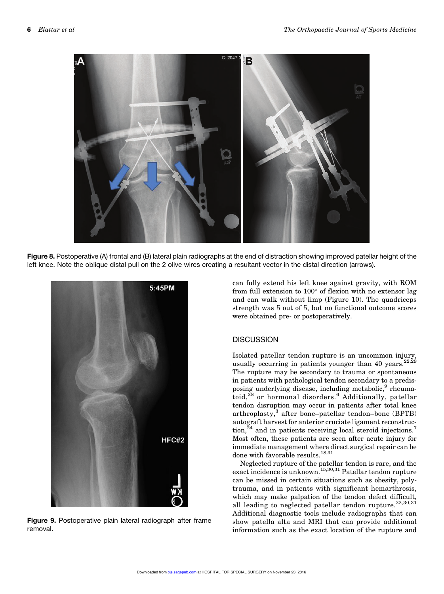

Figure 8. Postoperative (A) frontal and (B) lateral plain radiographs at the end of distraction showing improved patellar height of the left knee. Note the oblique distal pull on the 2 olive wires creating a resultant vector in the distal direction (arrows).



Figure 9. Postoperative plain lateral radiograph after frame removal.

can fully extend his left knee against gravity, with ROM from full extension to  $100^{\circ}$  of flexion with no extensor lag and can walk without limp (Figure 10). The quadriceps strength was 5 out of 5, but no functional outcome scores were obtained pre- or postoperatively.

# **DISCUSSION**

Isolated patellar tendon rupture is an uncommon injury, usually occurring in patients younger than 40 years.<sup>22,29</sup> The rupture may be secondary to trauma or spontaneous in patients with pathological tendon secondary to a predisposing underlying disease, including metabolic,<sup>9</sup> rheumatoid,<sup>28</sup> or hormonal disorders.<sup>6</sup> Additionally, patellar tendon disruption may occur in patients after total knee arthroplasty,<sup>3</sup> after bone–patellar tendon–bone (BPTB) autograft harvest for anterior cruciate ligament reconstruc- $\{\text{tion},^{24}\}$  and in patients receiving local steroid injections.<sup>7</sup> Most often, these patients are seen after acute injury for immediate management where direct surgical repair can be done with favorable results.  $^{18,31}$ 

Neglected rupture of the patellar tendon is rare, and the exact incidence is unknown.<sup>15,30,31</sup> Patellar tendon rupture can be missed in certain situations such as obesity, polytrauma, and in patients with significant hemarthrosis, which may make palpation of the tendon defect difficult, all leading to neglected patellar tendon rupture. $22,30,31$ Additional diagnostic tools include radiographs that can show patella alta and MRI that can provide additional information such as the exact location of the rupture and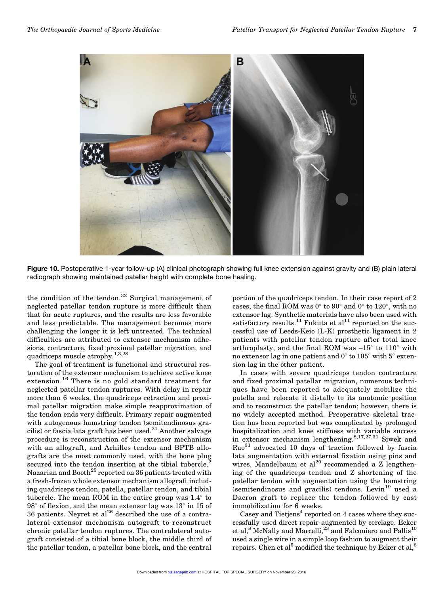

Figure 10. Postoperative 1-year follow-up (A) clinical photograph showing full knee extension against gravity and (B) plain lateral radiograph showing maintained patellar height with complete bone healing.

the condition of the tendon. $32$  Surgical management of neglected patellar tendon rupture is more difficult than that for acute ruptures, and the results are less favorable and less predictable. The management becomes more challenging the longer it is left untreated. The technical difficulties are attributed to extensor mechanism adhesions, contracture, fixed proximal patellar migration, and quadriceps muscle atrophy.1,3,28

The goal of treatment is functional and structural restoration of the extensor mechanism to achieve active knee extension.<sup>16</sup> There is no gold standard treatment for neglected patellar tendon ruptures. With delay in repair more than 6 weeks, the quadriceps retraction and proximal patellar migration make simple reapproximation of the tendon ends very difficult. Primary repair augmented with autogenous hamstring tendon (semitendinosus gracilis) or fascia lata graft has been used.<sup>21</sup> Another salvage procedure is reconstruction of the extensor mechanism with an allograft, and Achilles tendon and BPTB allografts are the most commonly used, with the bone plug secured into the tendon insertion at the tibial tubercle.<sup>2</sup> Nazarian and Booth<sup>25</sup> reported on 36 patients treated with a fresh-frozen whole extensor mechanism allograft including quadriceps tendon, patella, patellar tendon, and tibial tubercle. The mean ROM in the entire group was  $1.4^{\circ}$  to  $98^{\circ}$  of flexion, and the mean extensor lag was  $13^{\circ}$  in 15 of 36 patients. Neyret et  $al^{26}$  described the use of a contralateral extensor mechanism autograft to reconstruct chronic patellar tendon ruptures. The contralateral autograft consisted of a tibial bone block, the middle third of the patellar tendon, a patellar bone block, and the central

portion of the quadriceps tendon. In their case report of 2 cases, the final ROM was  $0^{\circ}$  to  $90^{\circ}$  and  $0^{\circ}$  to  $120^{\circ}$ , with no extensor lag. Synthetic materials have also been used with satisfactory results.<sup>11</sup> Fukuta et al<sup>11</sup> reported on the successful use of Leeds-Keio (L-K) prosthetic ligament in 2 patients with patellar tendon rupture after total knee arthroplasty, and the final ROM was  $-15^{\circ}$  to  $110^{\circ}$  with no extensor lag in one patient and  $0^{\circ}$  to  $105^{\circ}$  with  $5^{\circ}$  extension lag in the other patient.

In cases with severe quadriceps tendon contracture and fixed proximal patellar migration, numerous techniques have been reported to adequately mobilize the patella and relocate it distally to its anatomic position and to reconstruct the patellar tendon; however, there is no widely accepted method. Preoperative skeletal traction has been reported but was complicated by prolonged hospitalization and knee stiffness with variable success in extensor mechanism lengthening.8,17,27,31 Siwek and  $Rao<sup>31</sup>$  advocated 10 days of traction followed by fascia lata augmentation with external fixation using pins and wires. Mandelbaum et al<sup>20</sup> recommended a Z lengthening of the quadriceps tendon and Z shortening of the patellar tendon with augmentation using the hamstring  $(s$ emitendinosus and gracilis) tendons. Levin<sup>19</sup> used a Dacron graft to replace the tendon followed by cast immobilization for 6 weeks.

Casey and Tietjens<sup>4</sup> reported on 4 cases where they successfully used direct repair augmented by cerclage. Ecker et al, $^8$  McNally and Marcelli, $^{23}$  and Falconiero and Pallis<sup>10</sup> used a single wire in a simple loop fashion to augment their repairs. Chen et al<sup>5</sup> modified the technique by Ecker et al,<sup>8</sup>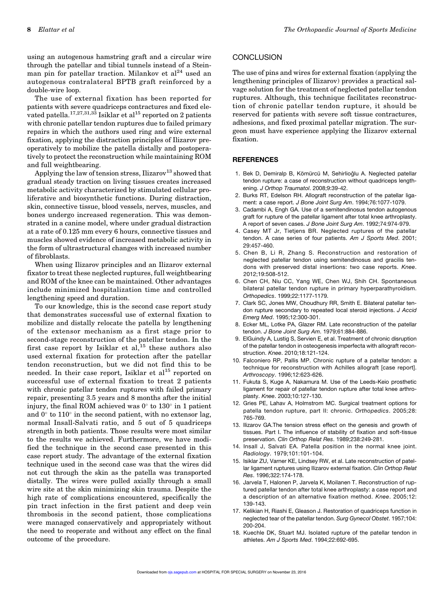using an autogenous hamstring graft and a circular wire through the patellar and tibial tunnels instead of a Steinman pin for patellar traction. Milankov et  $al^{24}$  used an autogenous contralateral BPTB graft reinforced by a double-wire loop.

The use of external fixation has been reported for patients with severe quadriceps contractures and fixed elevated patella.<sup>17,27,31,33</sup> Isiklar et al<sup>15</sup> reported on 2 patients with chronic patellar tendon ruptures due to failed primary repairs in which the authors used ring and wire external fixation, applying the distraction principles of Ilizarov preoperatively to mobilize the patella distally and postoperatively to protect the reconstruction while maintaining ROM and full weightbearing.

Applying the law of tension stress, Ilizarov<sup>13</sup> showed that gradual steady traction on living tissues creates increased metabolic activity characterized by stimulated cellular proliferative and biosynthetic functions. During distraction, skin, connective tissue, blood vessels, nerves, muscles, and bones undergo increased regeneration. This was demonstrated in a canine model, where under gradual distraction at a rate of 0.125 mm every 6 hours, connective tissues and muscles showed evidence of increased metabolic activity in the form of ultrastructural changes with increased number of fibroblasts.

When using Ilizarov principles and an Ilizarov external fixator to treat these neglected ruptures, full weightbearing and ROM of the knee can be maintained. Other advantages include minimized hospitalization time and controlled lengthening speed and duration.

To our knowledge, this is the second case report study that demonstrates successful use of external fixation to mobilize and distally relocate the patella by lengthening of the extensor mechanism as a first stage prior to second-stage reconstruction of the patellar tendon. In the first case report by Isiklar et  $al$ ,<sup>15</sup> these authors also used external fixation for protection after the patellar tendon reconstruction, but we did not find this to be needed. In their case report, Isiklar et  $al^{15}$  reported on successful use of external fixation to treat 2 patients with chronic patellar tendon ruptures with failed primary repair, presenting 3.5 years and 8 months after the initial injury, the final ROM achieved was  $0^{\circ}$  to 130 $^{\circ}$  in 1 patient and  $0^\circ$  to  $110^\circ$  in the second patient, with no extensor lag, normal Insall-Salvati ratio, and 5 out of 5 quadriceps strength in both patients. Those results were most similar to the results we achieved. Furthermore, we have modified the technique in the second case presented in this case report study. The advantage of the external fixation technique used in the second case was that the wires did not cut through the skin as the patella was transported distally. The wires were pulled axially through a small wire site at the skin minimizing skin trauma. Despite the high rate of complications encountered, specifically the pin tract infection in the first patient and deep vein thrombosis in the second patient, those complications were managed conservatively and appropriately without the need to reoperate and without any effect on the final outcome of the procedure.

#### **CONCLUSION**

The use of pins and wires for external fixation (applying the lengthening principles of Ilizarov) provides a practical salvage solution for the treatment of neglected patellar tendon ruptures. Although, this technique facilitates reconstruction of chronic patellar tendon rupture, it should be reserved for patients with severe soft tissue contractures, adhesions, and fixed proximal patellar migration. The surgeon must have experience applying the Ilizarov external fixation.

#### **REFERENCES**

- 1. Bek D, Demiralp B, Kömürcü M, Sehirlioğlu A. Neglected patellar tendon rupture: a case of reconstruction without quadriceps lengthening. J Orthop Traumatol. 2008;9:39-42.
- 2. Burks RT, Edelson RH. Allograft reconstruction of the patellar ligament: a case report. J Bone Joint Surg Am. 1994;76:1077-1079.
- 3. Cadambi A, Engh GA. Use of a semitendinosus tendon autogenous graft for rupture of the patellar ligament after total knee arthroplasty. A report of seven cases. J Bone Joint Surg Am. 1992;74:974-979.
- 4. Casey MT Jr, Tietjens BR. Neglected ruptures of the patellar tendon. A case series of four patients. Am J Sports Med. 2001; 29:457-460.
- 5. Chen B, Li R, Zhang S. Reconstruction and restoration of neglected patellar tendon using semitendinosus and gracilis tendons with preserved distal insertions: two case reports. Knee. 2012;19:508-512.
- 6. Chen CH, Niu CC, Yang WE, Chen WJ, Shih CH. Spontaneous bilateral patellar tendon rupture in primary hyperparathyroidism. Orthopedics. 1999;22:1177-1179.
- 7. Clark SC, Jones MW, Choudhury RR, Smith E. Bilateral patellar tendon rupture secondary to repeated local steroid injections. J Accid Emerg Med. 1995;12:300-301.
- 8. Ecker ML, Lotke PA, Glazer RM. Late reconstruction of the patellar tendon. J Bone Joint Surg Am. 1979;61:884-886.
- 9. ElGuindy A, Lustig S, Servien E, et al. Treatment of chronic disruption of the patellar tendon in osteogenesis imperfecta with allograft reconstruction. Knee. 2010;18:121-124.
- 10. Falconiero RP, Pallis MP. Chronic rupture of a patellar tendon: a technique for reconstruction with Achilles allograft [case report]. Arthroscopy. 1996;12:623-626.
- 11. Fukuta S, Kuge A, Nakamura M. Use of the Leeds-Keio prosthetic ligament for repair of patellar tendon rupture after total knee arthroplasty. Knee. 2003;10:127-130.
- 12. Gries PE, Lahav A, Holmstrom MC. Surgical treatment options for patella tendon rupture, part II: chronic. Orthopedics. 2005;28: 765-769.
- 13. Ilizarov GA.The tension stress effect on the genesis and growth of tissues. Part I. The influence of stability of fixation and soft-tissue preservation. Clin Orthop Relat Res. 1989;238:249-281.
- 14. Insall J, Salvati EA. Patella position in the normal knee joint. Radiology. 1979;101:101-104.
- 15. Isiklar ZU, Varner KE, Lindsey RW, et al. Late reconstruction of patellar ligament ruptures using Ilizarov external fixation. Clin Orthop Relat Res. 1996;322:174-178.
- 16. Jarvela T, Halonen P, Jarvela K, Moilanen T. Reconstruction of ruptured patellar tendon after total knee arthroplasty: a case report and a description of an alternative fixation method. Knee. 2005;12: 139-143.
- 17. Kelikian H, Riashi E, Gleason J. Restoration of quadriceps function in neglected tear of the patellar tendon. Surg Gynecol Obstet. 1957;104: 200-204.
- 18. Kuechle DK, Stuart MJ. Isolated rupture of the patellar tendon in athletes. Am J Sports Med. 1994;22:692-695.